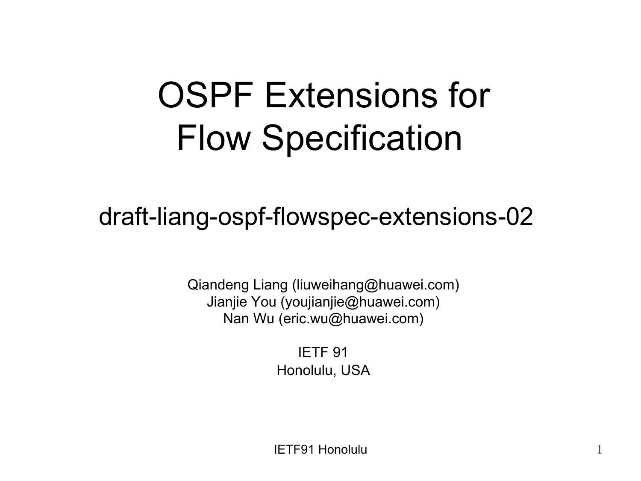#### OSPF Extensions for Flow Specification

#### draft-liang-ospf-flowspec-extensions-02

Qiandeng Liang (liuweihang@huawei.com) Jianjie You (youjianjie@huawei.com) Nan Wu (eric.wu@huawei.com)

> IETF 91 Honolulu, USA

IETF91 Honolulu 1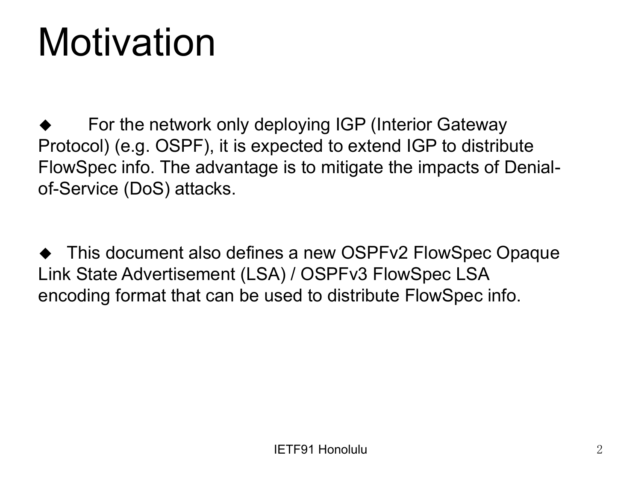## Motivation

For the network only deploying IGP (Interior Gateway Protocol) (e.g. OSPF), it is expected to extend IGP to distribute FlowSpec info. The advantage is to mitigate the impacts of Denialof-Service (DoS) attacks.

This document also defines a new OSPFv2 FlowSpec Opaque Link State Advertisement (LSA) / OSPFv3 FlowSpec LSA encoding format that can be used to distribute FlowSpec info.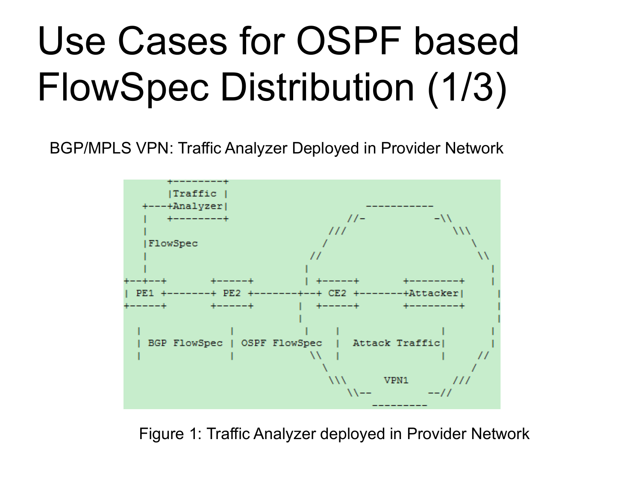# Use Cases for OSPF based FlowSpec Distribution (1/3)

BGP/MPLS VPN: Traffic Analyzer Deployed in Provider Network



Figure 1: Traffic Analyzer deployed in Provider Network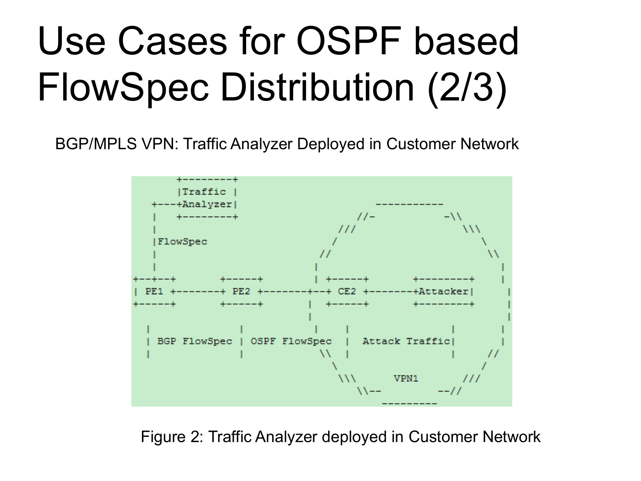# Use Cases for OSPF based FlowSpec Distribution (2/3)

BGP/MPLS VPN: Traffic Analyzer Deployed in Customer Network



Figure 2: Traffic Analyzer deployed in Customer Network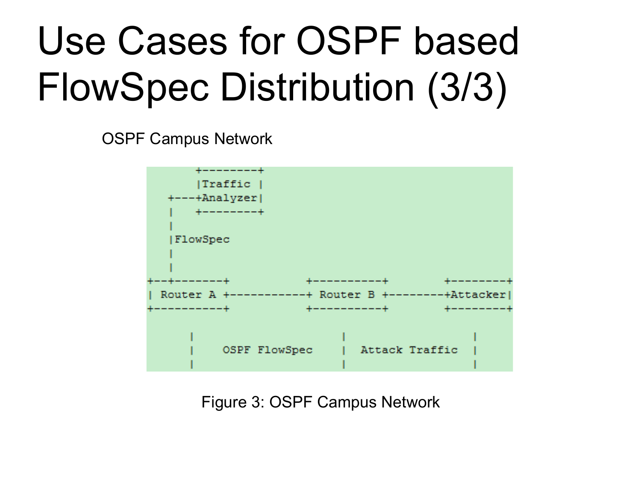# Use Cases for OSPF based FlowSpec Distribution (3/3)

OSPF Campus Network



Figure 3: OSPF Campus Network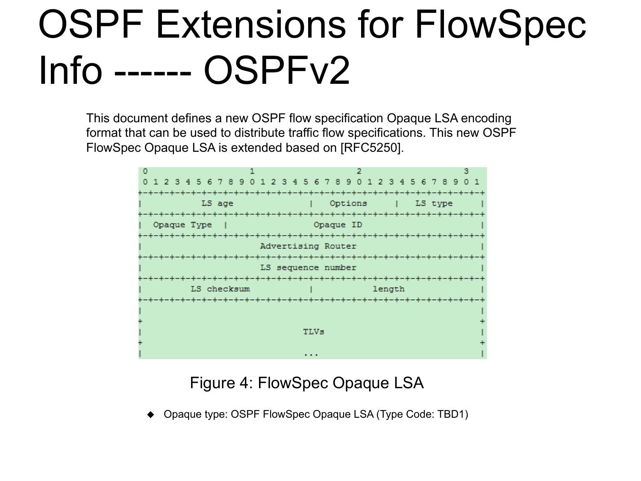## OSPF Extensions for FlowSpec Info ------ OSPFv2

This document defines a new OSPF flow specification Opaque LSA encoding format that can be used to distribute traffic flow specifications. This new OSPF FlowSpec Opaque LSA is extended based on [RFC5250].



Figure 4: FlowSpec Opaque LSA

Opaque type: OSPF FlowSpec Opaque LSA (Type Code: TBD1)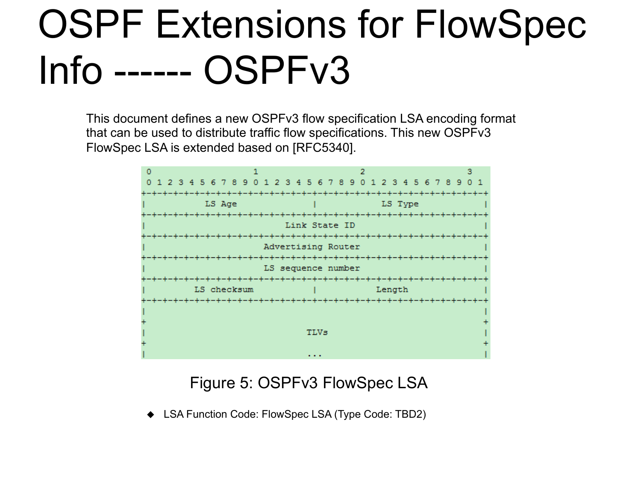### OSPF Extensions for FlowSpec Info ------ OSPFv3

This document defines a new OSPFv3 flow specification LSA encoding format that can be used to distribute traffic flow specifications. This new OSPFv3 FlowSpec LSA is extended based on [RFC5340].



Figure 5: OSPFv3 FlowSpec LSA

◆ LSA Function Code: FlowSpec LSA (Type Code: TBD2)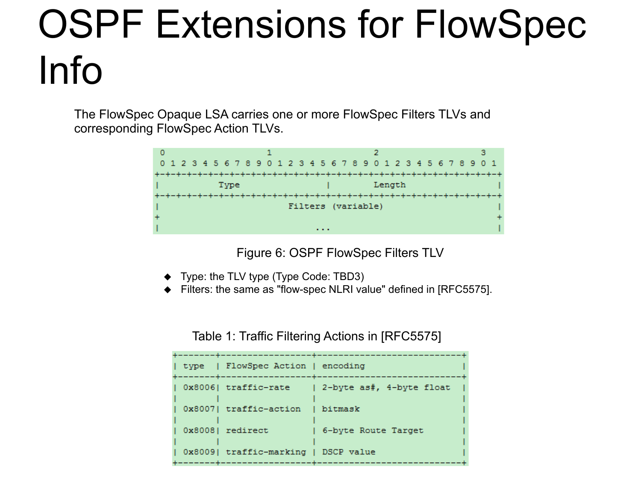## OSPF Extensions for FlowSpec Info

The FlowSpec Opaque LSA carries one or more FlowSpec Filters TLVs and corresponding FlowSpec Action TLVs.



Figure 6: OSPF FlowSpec Filters TLV

- $\blacklozenge$  Type: the TLV type (Type Code: TBD3)
- $\blacklozenge$  Filters: the same as "flow-spec NLRI value" defined in [RFC5575].

| type   FlowSpec Action   encoding    |                          |
|--------------------------------------|--------------------------|
| 0x8006  traffic-rate                 | 2-byte as#, 4-byte float |
| 0x8007  traffic-action               | bitmask                  |
| 0x80081 redirect                     | 6-byte Route Target      |
| 0x8009  traffic-marking   DSCP value |                          |

Table 1: Traffic Filtering Actions in [RFC5575]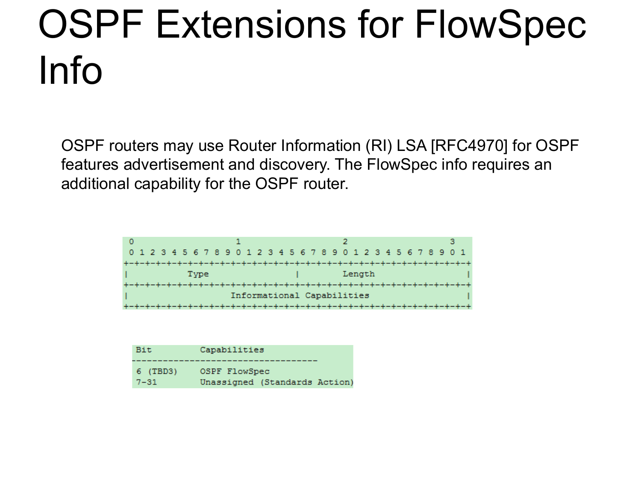# OSPF Extensions for FlowSpec Info

OSPF routers may use Router Information (RI) LSA [RFC4970] for OSPF features advertisement and discovery. The FlowSpec info requires an additional capability for the OSPF router.



| Bit      | Capabilities                  |  |  |  |  |  |  |  |  |  |
|----------|-------------------------------|--|--|--|--|--|--|--|--|--|
| 6 (TBD3) | OSPF FlowSpec                 |  |  |  |  |  |  |  |  |  |
| $7 - 31$ | Unassigned (Standards Action) |  |  |  |  |  |  |  |  |  |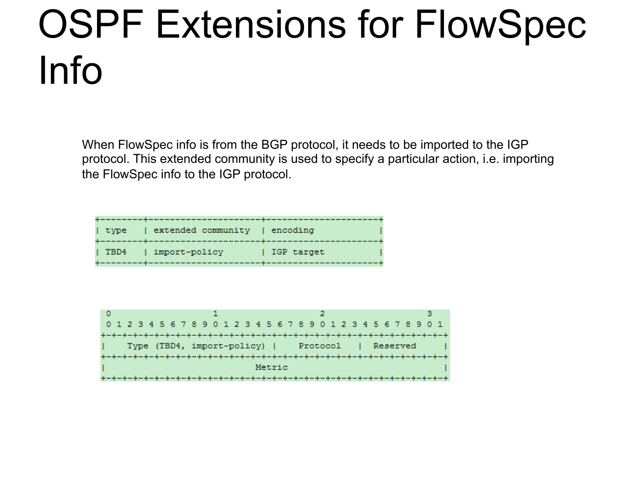## OSPF Extensions for FlowSpec Info

When FlowSpec info is from the BGP protocol, it needs to be imported to the IGP protocol. This extended community is used to specify a particular action, i.e. importing the FlowSpec info to the IGP protocol.

| type | extended community | encoding   |  |
|------|--------------------|------------|--|
|      |                    |            |  |
|      |                    |            |  |
|      |                    |            |  |
| TBD4 | import-policy      | IGP target |  |
|      |                    |            |  |
|      |                    |            |  |
|      |                    |            |  |

|                                                      |  |  |  |  |  |  |  |  |  |  | 0 1 2 3 4 5 6 7 8 9 0 1 2 3 4 5 6 7 8 9 0 1 2 3 4 5 6 7 8 9 0 1 |  |  |  |  |  |  |  |  |  |  |  |  |  |  |
|------------------------------------------------------|--|--|--|--|--|--|--|--|--|--|-----------------------------------------------------------------|--|--|--|--|--|--|--|--|--|--|--|--|--|--|
|                                                      |  |  |  |  |  |  |  |  |  |  |                                                                 |  |  |  |  |  |  |  |  |  |  |  |  |  |  |
| Type (TBD4, import-policy)  <br>Protocol<br>Reserved |  |  |  |  |  |  |  |  |  |  |                                                                 |  |  |  |  |  |  |  |  |  |  |  |  |  |  |
|                                                      |  |  |  |  |  |  |  |  |  |  |                                                                 |  |  |  |  |  |  |  |  |  |  |  |  |  |  |
| Metric                                               |  |  |  |  |  |  |  |  |  |  |                                                                 |  |  |  |  |  |  |  |  |  |  |  |  |  |  |
|                                                      |  |  |  |  |  |  |  |  |  |  |                                                                 |  |  |  |  |  |  |  |  |  |  |  |  |  |  |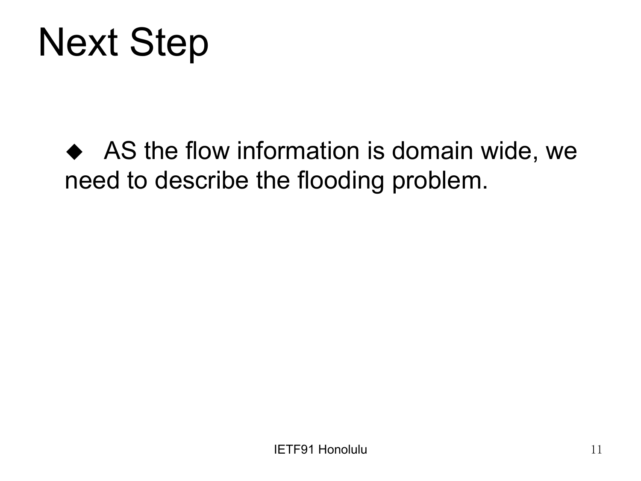#### **Next Step**

As the flow information is domain wide, we need to describe the flooding problem.